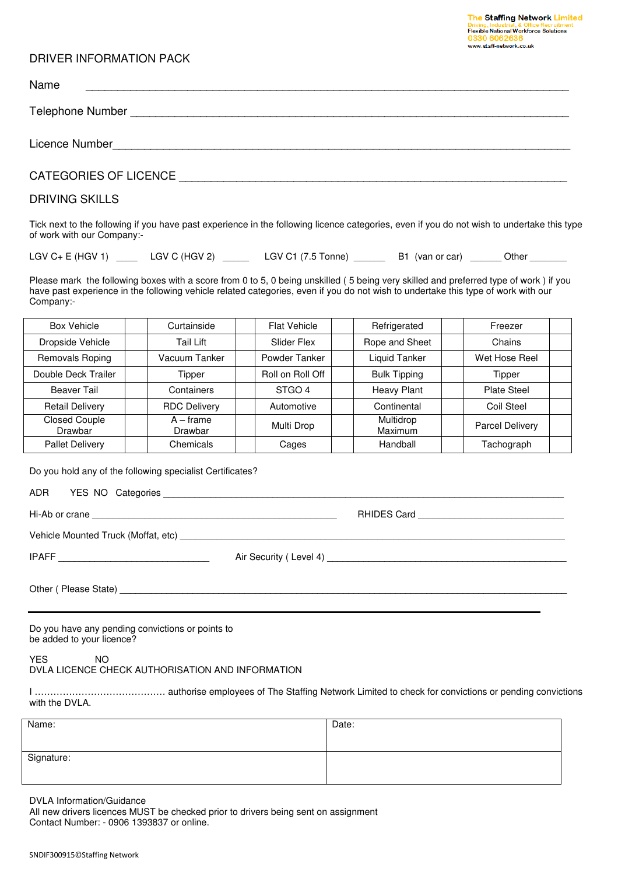| The Staffing Network Limited                 |
|----------------------------------------------|
| Driving, Industrial, & Office Recruitment    |
| <b>Flexible National Workforce Solutions</b> |
| 0330 6062636                                 |
| www.staff-network.co.uk                      |

## DRIVER INFORMATION PACK

| Name                                                                                                                                                                     |
|--------------------------------------------------------------------------------------------------------------------------------------------------------------------------|
|                                                                                                                                                                          |
|                                                                                                                                                                          |
|                                                                                                                                                                          |
| <b>DRIVING SKILLS</b>                                                                                                                                                    |
| Tick next to the following if you have past experience in the following licence categories, even if you do not wish to undertake this type<br>of work with our Company:- |
| LGV C+ E (HGV 1) ______ LGV C (HGV 2) ______ LGV C1 (7.5 Tonne) _______ B1 (van or car) ______ Other _______                                                             |

Please mark the following boxes with a score from 0 to 5, 0 being unskilled (5 being very skilled and preferred type of work) if you have past experience in the following vehicle related categories, even if you do not wish to undertake this type of work with our Company:-

| <b>Box Vehicle</b>              | Curtainside            | <b>Flat Vehicle</b> | Refrigerated         | Freezer         |  |
|---------------------------------|------------------------|---------------------|----------------------|-----------------|--|
| Dropside Vehicle                | Tail Lift              | Slider Flex         | Rope and Sheet       | Chains          |  |
| Removals Roping                 | Vacuum Tanker          | Powder Tanker       | Liquid Tanker        | Wet Hose Reel   |  |
| Double Deck Trailer             | Tipper                 | Roll on Roll Off    | <b>Bulk Tipping</b>  | Tipper          |  |
| <b>Beaver Tail</b>              | Containers             | STGO <sub>4</sub>   | <b>Heavy Plant</b>   | Plate Steel     |  |
| <b>Retail Delivery</b>          | <b>RDC Delivery</b>    | Automotive          | Continental          | Coil Steel      |  |
| <b>Closed Couple</b><br>Drawbar | $A - frame$<br>Drawbar | Multi Drop          | Multidrop<br>Maximum | Parcel Delivery |  |
| <b>Pallet Delivery</b>          | Chemicals              | Cages               | Handball             | Tachograph      |  |

Do you hold any of the following specialist Certificates?

| <b>ADR</b><br>YES NO Categories |
|---------------------------------|
|                                 |

| Hi-Ab<br>crane<br>∴∩r | <b>DUUNEA</b><br>Card<br>$\overline{ }$<br>שוחר |
|-----------------------|-------------------------------------------------|
|-----------------------|-------------------------------------------------|

Vehicle Mounted Truck (Moffat, etc) \_\_\_\_\_\_\_\_\_\_\_\_\_\_\_\_\_\_\_\_\_\_\_\_\_\_\_\_\_\_\_\_\_\_\_\_\_\_\_\_\_\_\_\_\_\_\_\_\_\_\_\_\_\_\_\_\_\_\_\_\_\_\_\_\_\_\_\_\_\_\_\_\_\_

IPAFF \_\_\_\_\_\_\_\_\_\_\_\_\_\_\_\_\_\_\_\_\_\_\_\_\_\_\_\_\_ Air Security ( Level 4) \_\_\_\_\_\_\_\_\_\_\_\_\_\_\_\_\_\_\_\_\_\_\_\_\_\_\_\_\_\_\_\_\_\_\_\_\_\_\_\_\_\_\_\_\_\_

Other (Please State)

Do you have any pending convictions or points to be added to your licence?

YES NO DVLA LICENCE CHECK AUTHORISATION AND INFORMATION

I …………………………………… authorise employees of The Staffing Network Limited to check for convictions or pending convictions with the DVLA.

| Name:      | Date: |
|------------|-------|
|            |       |
| Signature: |       |
|            |       |

DVLA Information/Guidance

All new drivers licences MUST be checked prior to drivers being sent on assignment Contact Number: - 0906 1393837 or online.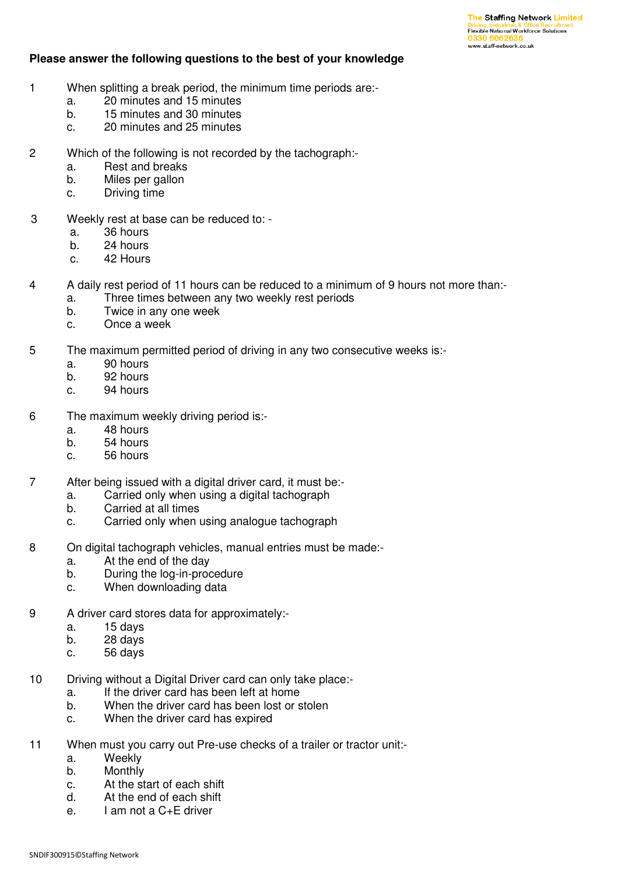## **Please answer the following questions to the best of your knowledge**

- 1 When splitting a break period, the minimum time periods are:
	- a. 20 minutes and 15 minutes
	- b. 15 minutes and 30 minutes
	- c. 20 minutes and 25 minutes
- 2 Which of the following is not recorded by the tachograph:
	- a. Rest and breaks
	- b. Miles per gallon
	- c. Driving time
- 3 Weekly rest at base can be reduced to:
	- a. 36 hours
	- b. 24 hours
	- c. 42 Hours
- 4 A daily rest period of 11 hours can be reduced to a minimum of 9 hours not more than:
	- a. Three times between any two weekly rest periods
	- b. Twice in any one week
	- c. Once a week
- 5 The maximum permitted period of driving in any two consecutive weeks is:
	- a. 90 hours
	- b. 92 hours
	- c. 94 hours
- 6 The maximum weekly driving period is:
	- a. 48 hours
	- b. 54 hours
	- c. 56 hours
- 7 After being issued with a digital driver card, it must be:
	- a. Carried only when using a digital tachograph
	- b. Carried at all times
	- c. Carried only when using analogue tachograph
- 8 On digital tachograph vehicles, manual entries must be made:
	- a. At the end of the day
	- b. During the log-in-procedure
	- c. When downloading data
- 9 A driver card stores data for approximately:
	- a. 15 days
	- b. 28 days
	- c. 56 days
- 10 Driving without a Digital Driver card can only take place:
	- a. If the driver card has been left at home
	- b. When the driver card has been lost or stolen
	- c. When the driver card has expired
- 11 When must you carry out Pre-use checks of a trailer or tractor unit:
	- a. Weekly
	- b. Monthly
	- c. At the start of each shift
	- d. At the end of each shift
	- e. I am not a C+E driver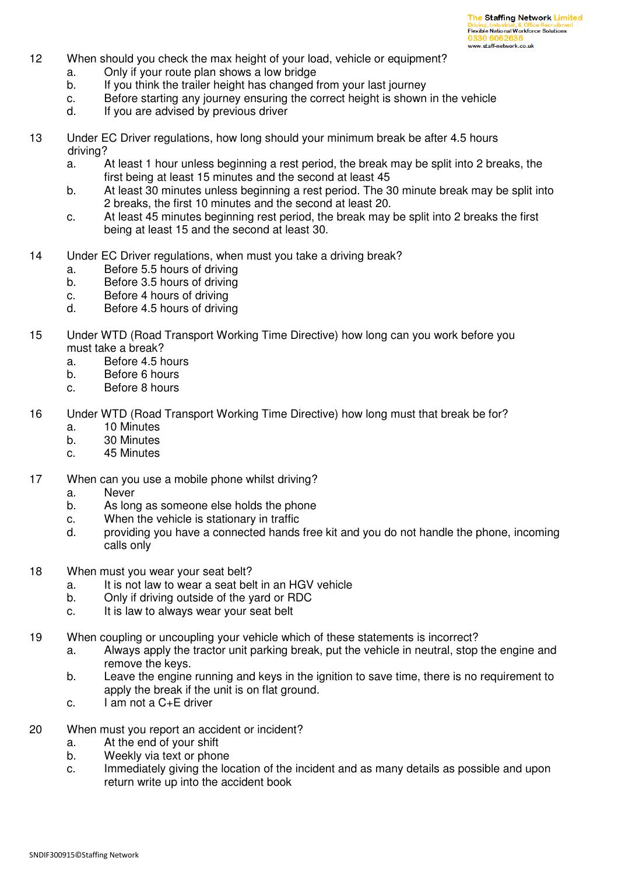- 12 When should you check the max height of your load, vehicle or equipment?
	- a. Only if your route plan shows a low bridge
	- b. If you think the trailer height has changed from your last journey
	- c. Before starting any journey ensuring the correct height is shown in the vehicle
	- d. If you are advised by previous driver
- 13 Under EC Driver regulations, how long should your minimum break be after 4.5 hours driving?
	- a. At least 1 hour unless beginning a rest period, the break may be split into 2 breaks, the first being at least 15 minutes and the second at least 45
	- b. At least 30 minutes unless beginning a rest period. The 30 minute break may be split into 2 breaks, the first 10 minutes and the second at least 20.
	- c. At least 45 minutes beginning rest period, the break may be split into 2 breaks the first being at least 15 and the second at least 30.
- 14 Under EC Driver regulations, when must you take a driving break?
	- a. Before 5.5 hours of driving
	- b. Before 3.5 hours of driving
	- c. Before 4 hours of driving
	- d. Before 4.5 hours of driving
- 15 Under WTD (Road Transport Working Time Directive) how long can you work before you must take a break?
	- a. Before 4.5 hours
	- b. Before 6 hours
	- c. Before 8 hours
- 16 Under WTD (Road Transport Working Time Directive) how long must that break be for?
	- a. 10 Minutes
	- b. 30 Minutes
	- c. 45 Minutes
- 17 When can you use a mobile phone whilst driving?
	- a. Never
	- b. As long as someone else holds the phone
	- c. When the vehicle is stationary in traffic
	- d. providing you have a connected hands free kit and you do not handle the phone, incoming calls only
- 18 When must you wear your seat belt?
	- a. It is not law to wear a seat belt in an HGV vehicle
	- b. Only if driving outside of the yard or RDC
	- c. It is law to always wear your seat belt
- 19 When coupling or uncoupling your vehicle which of these statements is incorrect?
	- a. Always apply the tractor unit parking break, put the vehicle in neutral, stop the engine and remove the keys.
	- b. Leave the engine running and keys in the ignition to save time, there is no requirement to apply the break if the unit is on flat ground.
	- c. I am not a C+E driver
- 20 When must you report an accident or incident?
	- a. At the end of your shift
	- b. Weekly via text or phone
	- c. Immediately giving the location of the incident and as many details as possible and upon return write up into the accident book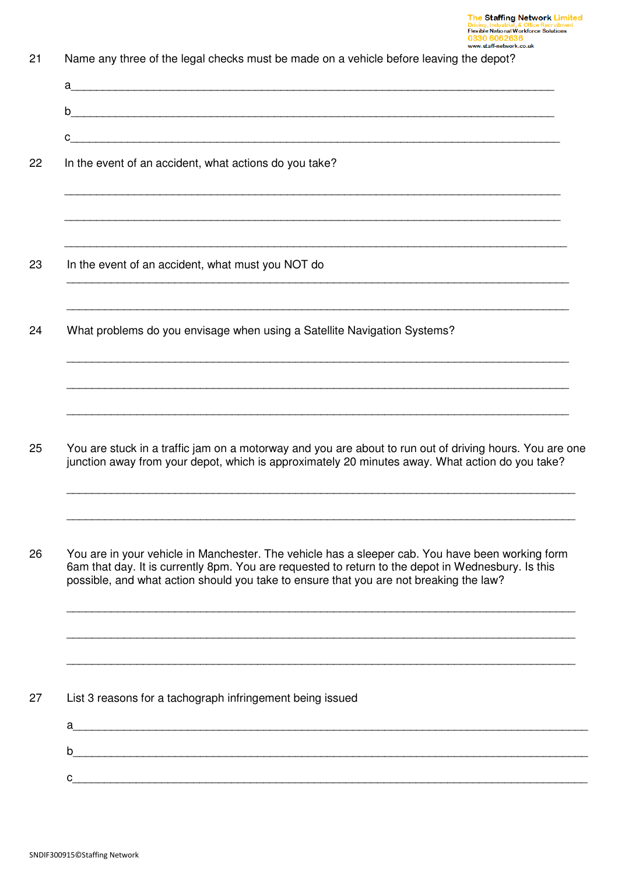| a <u>discussion in the contract of the contract of the contract of the contract of the contract of the contract of the contract of the contract of the contract of the contract of the contract of the contract of the contract </u>                                                             |
|--------------------------------------------------------------------------------------------------------------------------------------------------------------------------------------------------------------------------------------------------------------------------------------------------|
| b                                                                                                                                                                                                                                                                                                |
| $\mathbf{C}$ . The contract of the contract of the contract of the contract of the contract of the contract of the contract of the contract of the contract of the contract of the contract of the contract of the contract of th                                                                |
| In the event of an accident, what actions do you take?                                                                                                                                                                                                                                           |
|                                                                                                                                                                                                                                                                                                  |
| In the event of an accident, what must you NOT do                                                                                                                                                                                                                                                |
| ,我们也不能在这里的时候,我们也不能在这里的时候,我们也不能在这里的时候,我们也不能会在这里的时候,我们也不能会在这里的时候,我们也不能会在这里的时候,我们也不<br>What problems do you envisage when using a Satellite Navigation Systems?                                                                                                                                     |
| ,我们也不能在这里的人,我们也不能在这里的人,我们也不能不能不能不能不能不能不能不能不能不能不能。""我们的人,我们也不能不能不能不能不能不能不能不能不能不能不<br>You are stuck in a traffic jam on a motorway and you are about to run out of driving hours. You are one<br>junction away from your depot, which is approximately 20 minutes away. What action do you take?   |
|                                                                                                                                                                                                                                                                                                  |
| You are in your vehicle in Manchester. The vehicle has a sleeper cab. You have been working form<br>6am that day. It is currently 8pm. You are requested to return to the depot in Wednesbury. Is this<br>possible, and what action should you take to ensure that you are not breaking the law? |
|                                                                                                                                                                                                                                                                                                  |
| List 3 reasons for a tachograph infringement being issued                                                                                                                                                                                                                                        |
| $a$ $\overline{\phantom{a}}$                                                                                                                                                                                                                                                                     |